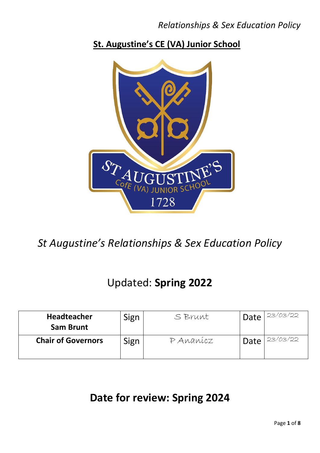### **St. Augustine's CE (VA) Junior School**



# *St Augustine's Relationships & Sex Education Policy*

## Updated: **Spring 2022**

| <b>Headteacher</b><br><b>Sam Brunt</b> | Sign | S Brunt   | Date | 23/03/22 |
|----------------------------------------|------|-----------|------|----------|
| <b>Chair of Governors</b>              | Sign | P Ananícz | Date | 23/03/22 |

## **Date for review: Spring 2024**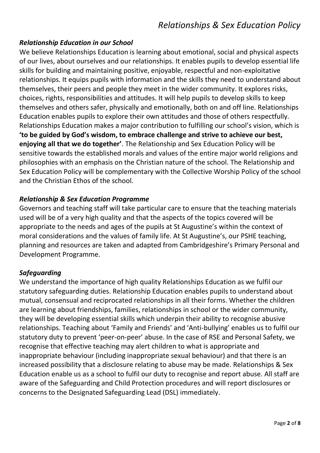#### *Relationship Education in our School*

We believe Relationships Education is learning about emotional, social and physical aspects of our lives, about ourselves and our relationships. It enables pupils to develop essential life skills for building and maintaining positive, enjoyable, respectful and non-exploitative relationships. It equips pupils with information and the skills they need to understand about themselves, their peers and people they meet in the wider community. It explores risks, choices, rights, responsibilities and attitudes. It will help pupils to develop skills to keep themselves and others safer, physically and emotionally, both on and off line. Relationships Education enables pupils to explore their own attitudes and those of others respectfully. Relationships Education makes a major contribution to fulfilling our school's vision, which is **'to be guided by God's wisdom, to embrace challenge and strive to achieve our best, enjoying all that we do together'**. The Relationship and Sex Education Policy will be sensitive towards the established morals and values of the entire major world religions and philosophies with an emphasis on the Christian nature of the school. The Relationship and Sex Education Policy will be complementary with the Collective Worship Policy of the school and the Christian Ethos of the school.

#### *Relationship & Sex Education Programme*

Governors and teaching staff will take particular care to ensure that the teaching materials used will be of a very high quality and that the aspects of the topics covered will be appropriate to the needs and ages of the pupils at St Augustine's within the context of moral considerations and the values of family life. At St Augustine's, our PSHE teaching, planning and resources are taken and adapted from Cambridgeshire's Primary Personal and Development Programme.

#### *Safeguarding*

We understand the importance of high quality Relationships Education as we fulfil our statutory safeguarding duties. Relationship Education enables pupils to understand about mutual, consensual and reciprocated relationships in all their forms. Whether the children are learning about friendships, families, relationships in school or the wider community, they will be developing essential skills which underpin their ability to recognise abusive relationships. Teaching about 'Family and Friends' and 'Anti-bullying' enables us to fulfil our statutory duty to prevent 'peer-on-peer' abuse. In the case of RSE and Personal Safety, we recognise that effective teaching may alert children to what is appropriate and inappropriate behaviour (including inappropriate sexual behaviour) and that there is an increased possibility that a disclosure relating to abuse may be made. Relationships & Sex Education enable us as a school to fulfil our duty to recognise and report abuse. All staff are aware of the Safeguarding and Child Protection procedures and will report disclosures or concerns to the Designated Safeguarding Lead (DSL) immediately.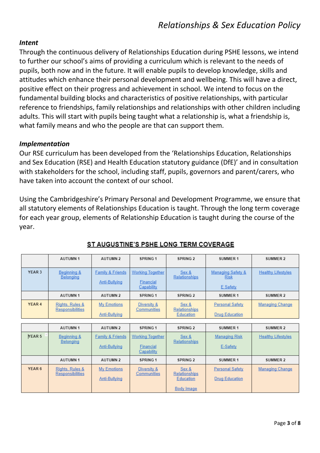#### *Intent*

Through the continuous delivery of Relationships Education during PSHE lessons, we intend to further our school's aims of providing a curriculum which is relevant to the needs of pupils, both now and in the future. It will enable pupils to develop knowledge, skills and attitudes which enhance their personal development and wellbeing. This will have a direct, positive effect on their progress and achievement in school. We intend to focus on the fundamental building blocks and characteristics of positive relationships, with particular reference to friendships, family relationships and relationships with other children including adults. This will start with pupils being taught what a relationship is, what a friendship is, what family means and who the people are that can support them.

#### *Implementation*

Our RSE curriculum has been developed from the 'Relationships Education, Relationships and Sex Education (RSE) and Health Education statutory guidance (DfE)' and in consultation with stakeholders for the school, including staff, pupils, governors and parent/carers, who have taken into account the context of our school.

Using the Cambridgeshire's Primary Personal and Development Programme, we ensure that all statutory elements of Relationships Education is taught. Through the long term coverage for each year group, elements of Relationship Education is taught during the course of the year.

|                   | <b>AUTUMN1</b>          | <b>AUTUMN 2</b>             | SPRING <sub>1</sub>     | SPRING <sub>2</sub>                   | SUMMER <sub>1</sub>          | SUMMER 2                  |
|-------------------|-------------------------|-----------------------------|-------------------------|---------------------------------------|------------------------------|---------------------------|
|                   |                         |                             |                         |                                       |                              |                           |
| YEAR 3            | Beginning &             | <b>Family &amp; Friends</b> | <b>Working Together</b> | Sex &                                 | <b>Managing Safety &amp;</b> | <b>Healthy Lifestyles</b> |
|                   | Belonging               | Anti-Bullying               | Financial               | Relationships                         | <b>Risk</b>                  |                           |
|                   |                         |                             | Capability              |                                       | E Safety                     |                           |
|                   | <b>AUTUMN1</b>          | <b>AUTUMN 2</b>             | SPRING <sub>1</sub>     | SPRING 2                              | SUMMER <sub>1</sub>          | SUMMER 2                  |
| YEAR 4            | Rights, Rules &         | <b>My Emotions</b>          | Diversity &             | Sex &                                 | <b>Personal Safety</b>       | <b>Managing Change</b>    |
|                   | <b>Responsibilities</b> | <b>Anti-Bullying</b>        | Communities             | <b>Relationships</b><br>Education     | <b>Drug Education</b>        |                           |
|                   |                         |                             |                         |                                       |                              |                           |
|                   |                         |                             |                         |                                       |                              |                           |
|                   | <b>AUTUMN1</b>          | <b>AUTUMN2</b>              | SPRING <sub>1</sub>     | SPRING <sub>2</sub>                   | SUMMER <sub>1</sub>          | SUMMER 2                  |
| YEAR 5            | <b>Beginning &amp;</b>  | <b>Family &amp; Friends</b> | <b>Working Together</b> | Sex &                                 | <b>Managing Risk</b>         | <b>Healthy Lifestyles</b> |
|                   | Belonging               |                             |                         | Relationships                         |                              |                           |
|                   |                         | <b>Anti-Bullying</b>        | Financial<br>Capability |                                       | E-Safety                     |                           |
|                   | <b>AUTUMN1</b>          | <b>AUTUMN 2</b>             | SPRING <sub>1</sub>     | SPRING <sub>2</sub>                   | SUMMER <sub>1</sub>          | SUMMER 2                  |
| YFAR <sub>6</sub> | Rights, Rules &         | <b>My Emotions</b>          | Diversity &             | Sex &                                 | <b>Personal Safety</b>       | <b>Managing Change</b>    |
|                   | <b>Responsibilities</b> |                             | Communities             | Relationships                         |                              |                           |
|                   |                         | Anti-Bullying               |                         | <b>Education</b><br><b>Body Image</b> | <b>Drug Education</b>        |                           |

#### ST AUGUSTINE'S PSHE LONG TERM COVERAGE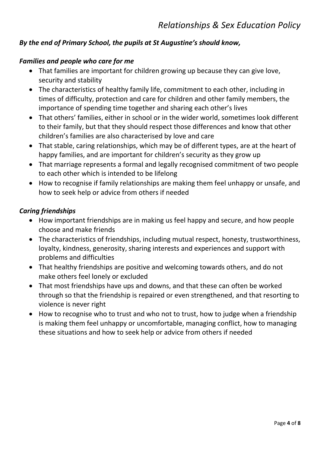#### *By the end of Primary School, the pupils at St Augustine's should know,*

#### *Families and people who care for me*

- That families are important for children growing up because they can give love, security and stability
- The characteristics of healthy family life, commitment to each other, including in times of difficulty, protection and care for children and other family members, the importance of spending time together and sharing each other's lives
- That others' families, either in school or in the wider world, sometimes look different to their family, but that they should respect those differences and know that other children's families are also characterised by love and care
- That stable, caring relationships, which may be of different types, are at the heart of happy families, and are important for children's security as they grow up
- That marriage represents a formal and legally recognised commitment of two people to each other which is intended to be lifelong
- How to recognise if family relationships are making them feel unhappy or unsafe, and how to seek help or advice from others if needed

#### *Caring friendships*

- How important friendships are in making us feel happy and secure, and how people choose and make friends
- The characteristics of friendships, including mutual respect, honesty, trustworthiness, loyalty, kindness, generosity, sharing interests and experiences and support with problems and difficulties
- That healthy friendships are positive and welcoming towards others, and do not make others feel lonely or excluded
- That most friendships have ups and downs, and that these can often be worked through so that the friendship is repaired or even strengthened, and that resorting to violence is never right
- How to recognise who to trust and who not to trust, how to judge when a friendship is making them feel unhappy or uncomfortable, managing conflict, how to managing these situations and how to seek help or advice from others if needed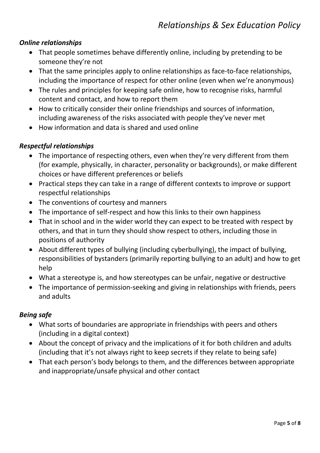#### *Online relationships*

- That people sometimes behave differently online, including by pretending to be someone they're not
- That the same principles apply to online relationships as face-to-face relationships, including the importance of respect for other online (even when we're anonymous)
- The rules and principles for keeping safe online, how to recognise risks, harmful content and contact, and how to report them
- How to critically consider their online friendships and sources of information, including awareness of the risks associated with people they've never met
- How information and data is shared and used online

#### *Respectful relationships*

- The importance of respecting others, even when they're very different from them (for example, physically, in character, personality or backgrounds), or make different choices or have different preferences or beliefs
- Practical steps they can take in a range of different contexts to improve or support respectful relationships
- The conventions of courtesy and manners
- The importance of self-respect and how this links to their own happiness
- That in school and in the wider world they can expect to be treated with respect by others, and that in turn they should show respect to others, including those in positions of authority
- About different types of bullying (including cyberbullying), the impact of bullying, responsibilities of bystanders (primarily reporting bullying to an adult) and how to get help
- What a stereotype is, and how stereotypes can be unfair, negative or destructive
- The importance of permission-seeking and giving in relationships with friends, peers and adults

#### *Being safe*

- What sorts of boundaries are appropriate in friendships with peers and others (including in a digital context)
- About the concept of privacy and the implications of it for both children and adults (including that it's not always right to keep secrets if they relate to being safe)
- That each person's body belongs to them, and the differences between appropriate and inappropriate/unsafe physical and other contact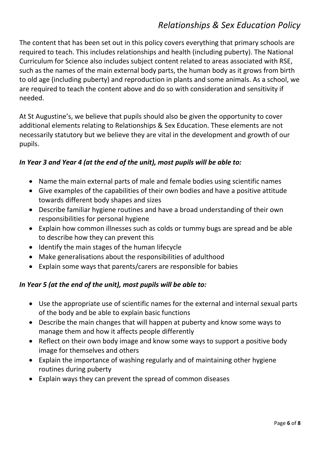### *Relationships & Sex Education Policy*

The content that has been set out in this policy covers everything that primary schools are required to teach. This includes relationships and health (including puberty). The National Curriculum for Science also includes subject content related to areas associated with RSE, such as the names of the main external body parts, the human body as it grows from birth to old age (including puberty) and reproduction in plants and some animals. As a school, we are required to teach the content above and do so with consideration and sensitivity if needed.

At St Augustine's, we believe that pupils should also be given the opportunity to cover additional elements relating to Relationships & Sex Education. These elements are not necessarily statutory but we believe they are vital in the development and growth of our pupils.

#### *In Year 3 and Year 4 (at the end of the unit), most pupils will be able to:*

- Name the main external parts of male and female bodies using scientific names
- Give examples of the capabilities of their own bodies and have a positive attitude towards different body shapes and sizes
- Describe familiar hygiene routines and have a broad understanding of their own responsibilities for personal hygiene
- Explain how common illnesses such as colds or tummy bugs are spread and be able to describe how they can prevent this
- Identify the main stages of the human lifecycle
- Make generalisations about the responsibilities of adulthood
- Explain some ways that parents/carers are responsible for babies

#### *In Year 5 (at the end of the unit), most pupils will be able to:*

- Use the appropriate use of scientific names for the external and internal sexual parts of the body and be able to explain basic functions
- Describe the main changes that will happen at puberty and know some ways to manage them and how it affects people differently
- Reflect on their own body image and know some ways to support a positive body image for themselves and others
- Explain the importance of washing regularly and of maintaining other hygiene routines during puberty
- Explain ways they can prevent the spread of common diseases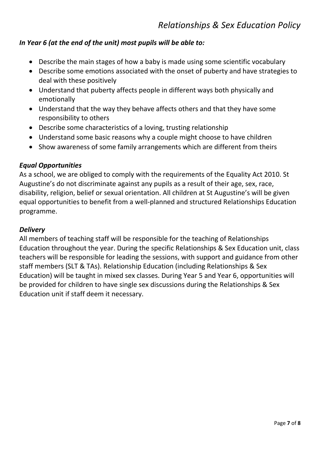#### *In Year 6 (at the end of the unit) most pupils will be able to:*

- Describe the main stages of how a baby is made using some scientific vocabulary
- Describe some emotions associated with the onset of puberty and have strategies to deal with these positively
- Understand that puberty affects people in different ways both physically and emotionally
- Understand that the way they behave affects others and that they have some responsibility to others
- Describe some characteristics of a loving, trusting relationship
- Understand some basic reasons why a couple might choose to have children
- Show awareness of some family arrangements which are different from theirs

#### *Equal Opportunities*

As a school, we are obliged to comply with the requirements of the Equality Act 2010. St Augustine's do not discriminate against any pupils as a result of their age, sex, race, disability, religion, belief or sexual orientation. All children at St Augustine's will be given equal opportunities to benefit from a well-planned and structured Relationships Education programme.

#### *Delivery*

All members of teaching staff will be responsible for the teaching of Relationships Education throughout the year. During the specific Relationships & Sex Education unit, class teachers will be responsible for leading the sessions, with support and guidance from other staff members (SLT & TAs). Relationship Education (including Relationships & Sex Education) will be taught in mixed sex classes. During Year 5 and Year 6, opportunities will be provided for children to have single sex discussions during the Relationships & Sex Education unit if staff deem it necessary.